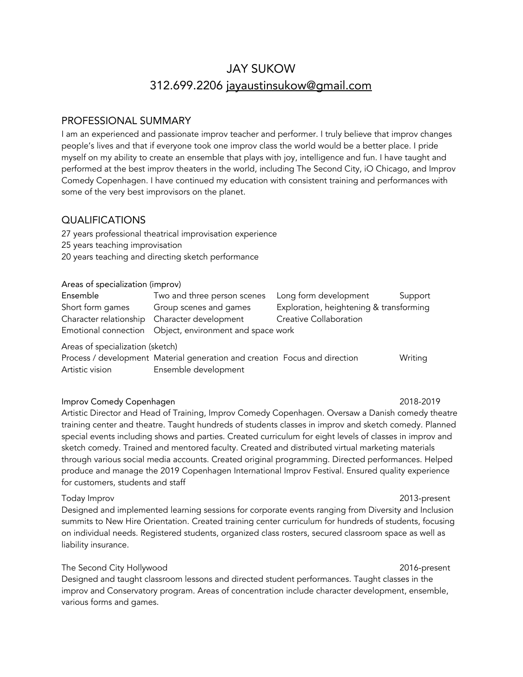# JAY SUKOW 312.699.2206 [jayaustinsukow@gmail.com](mailto:jayaustinsukow@gmail.com)

# PROFESSIONAL SUMMARY

I am an experienced and passionate improv teacher and performer. I truly believe that improv changes people's lives and that if everyone took one improv class the world would be a better place. I pride myself on my ability to create an ensemble that plays with joy, intelligence and fun. I have taught and performed at the best improv theaters in the world, including The Second City, iO Chicago, and Improv Comedy Copenhagen. I have continued my education with consistent training and performances with some of the very best improvisors on the planet.

# QUALIFICATIONS

27 years professional theatrical improvisation experience

- 25 years teaching improvisation
- 20 years teaching and directing sketch performance

#### Areas of specialization (improv)

| Ensemble         | Two and three person scenes Long form development       |                                         | Support |
|------------------|---------------------------------------------------------|-----------------------------------------|---------|
| Short form games | Group scenes and games                                  | Exploration, heightening & transforming |         |
|                  | Character relationship Character development            | Creative Collaboration                  |         |
|                  | Emotional connection Object, environment and space work |                                         |         |

Areas of specialization (sketch)

Process / development Material generation and creation Focus and direction Writing Artistic vision Ensemble development

#### Improv Comedy Copenhagen 2018-2019

# Artistic Director and Head of Training, Improv Comedy Copenhagen. Oversaw a Danish comedy theatre training center and theatre. Taught hundreds of students classes in improv and sketch comedy. Planned special events including shows and parties. Created curriculum for eight levels of classes in improv and sketch comedy. Trained and mentored faculty. Created and distributed virtual marketing materials through various social media accounts. Created original programming. Directed performances. Helped produce and manage the 2019 Copenhagen International Improv Festival. Ensured quality experience for customers, students and staff

#### Today Improv 2013-present

Designed and implemented learning sessions for corporate events ranging from Diversity and Inclusion summits to New Hire Orientation. Created training center curriculum for hundreds of students, focusing on individual needs. Registered students, organized class rosters, secured classroom space as well as liability insurance.

## The Second City Hollywood 2016-present

Designed and taught classroom lessons and directed student performances. Taught classes in the improv and Conservatory program. Areas of concentration include character development, ensemble, various forms and games.